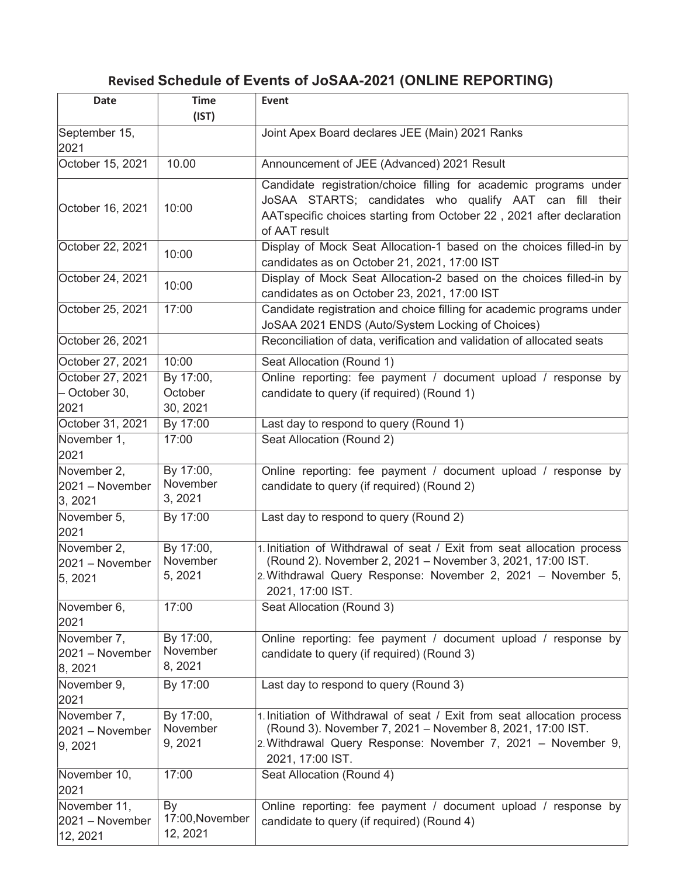## Revised Schedule of Events of JoSAA-2021 (ONLINE REPORTING)

| <b>Date</b>                                 | <b>Time</b>                       | Event                                                                                                                                                                                                                     |
|---------------------------------------------|-----------------------------------|---------------------------------------------------------------------------------------------------------------------------------------------------------------------------------------------------------------------------|
|                                             | (IST)                             |                                                                                                                                                                                                                           |
| September 15,<br>2021                       |                                   | Joint Apex Board declares JEE (Main) 2021 Ranks                                                                                                                                                                           |
| October 15, 2021                            | 10.00                             | Announcement of JEE (Advanced) 2021 Result                                                                                                                                                                                |
| October 16, 2021                            | 10:00                             | Candidate registration/choice filling for academic programs under<br>JoSAA STARTS; candidates who qualify AAT can fill their<br>AATspecific choices starting from October 22, 2021 after declaration<br>of AAT result     |
| October 22, 2021                            | 10:00                             | Display of Mock Seat Allocation-1 based on the choices filled-in by<br>candidates as on October 21, 2021, 17:00 IST                                                                                                       |
| October 24, 2021                            | 10:00                             | Display of Mock Seat Allocation-2 based on the choices filled-in by<br>candidates as on October 23, 2021, 17:00 IST                                                                                                       |
| October 25, 2021                            | 17:00                             | Candidate registration and choice filling for academic programs under<br>JoSAA 2021 ENDS (Auto/System Locking of Choices)                                                                                                 |
| October 26, 2021                            |                                   | Reconciliation of data, verification and validation of allocated seats                                                                                                                                                    |
| October 27, 2021                            | 10:00                             | Seat Allocation (Round 1)                                                                                                                                                                                                 |
| October 27, 2021<br>- October 30,<br>2021   | By 17:00,<br>October<br>30, 2021  | Online reporting: fee payment / document upload / response by<br>candidate to query (if required) (Round 1)                                                                                                               |
| October 31, 2021                            | By 17:00                          | Last day to respond to query (Round 1)                                                                                                                                                                                    |
| November 1,<br>2021                         | 17:00                             | Seat Allocation (Round 2)                                                                                                                                                                                                 |
| November 2,<br>2021 - November<br>3, 2021   | By 17:00,<br>November<br>3, 2021  | Online reporting: fee payment / document upload / response by<br>candidate to query (if required) (Round 2)                                                                                                               |
| November 5,<br>2021                         | By 17:00                          | Last day to respond to query (Round 2)                                                                                                                                                                                    |
| November 2,<br>2021 - November<br>5,2021    | By 17:00,<br>November<br>5, 2021  | 1. Initiation of Withdrawal of seat / Exit from seat allocation process<br>(Round 2). November 2, 2021 - November 3, 2021, 17:00 IST.<br>2. Withdrawal Query Response: November 2, 2021 - November 5,<br>2021, 17:00 IST. |
| November 6,<br>2021                         | 17:00                             | Seat Allocation (Round 3)                                                                                                                                                                                                 |
| November 7,<br>2021 - November<br> 8, 2021  | By 17:00,<br>November<br>8, 2021  | Online reporting: fee payment / document upload / response by<br>candidate to query (if required) (Round 3)                                                                                                               |
| November 9,<br>2021                         | By 17:00                          | Last day to respond to query (Round 3)                                                                                                                                                                                    |
| November 7,<br>2021 - November<br> 9, 2021  | By 17:00,<br>November<br>9, 2021  | 1. Initiation of Withdrawal of seat / Exit from seat allocation process<br>(Round 3). November 7, 2021 - November 8, 2021, 17:00 IST.<br>2. Withdrawal Query Response: November 7, 2021 - November 9,<br>2021, 17:00 IST. |
| November 10,<br>2021                        | 17:00                             | Seat Allocation (Round 4)                                                                                                                                                                                                 |
| November 11,<br>2021 - November<br>12, 2021 | By<br>17:00, November<br>12, 2021 | Online reporting: fee payment / document upload / response by<br>candidate to query (if required) (Round 4)                                                                                                               |